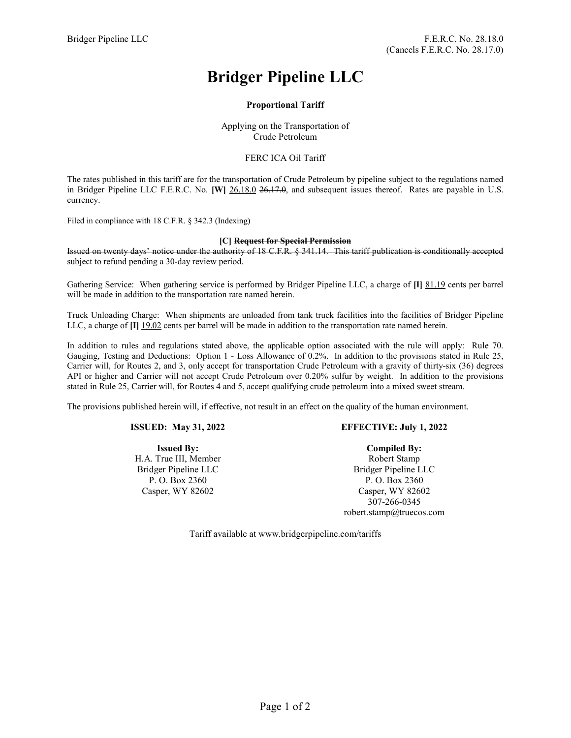# **Bridger Pipeline LLC**

# **Proportional Tariff**

Applying on the Transportation of Crude Petroleum

## FERC ICA Oil Tariff

The rates published in this tariff are for the transportation of Crude Petroleum by pipeline subject to the regulations named in Bridger Pipeline LLC F.E.R.C. No. **[W]** 26.18.0 26.17.0, and subsequent issues thereof. Rates are payable in U.S. currency.

Filed in compliance with 18 C.F.R. § 342.3 (Indexing)

#### **[C] Request for Special Permission**

Issued on twenty days' notice under the authority of 18 C.F.R. § 341.14. This tariff publication is conditionally accepted subject to refund pending a 30-day review period.

Gathering Service: When gathering service is performed by Bridger Pipeline LLC, a charge of **[I]** 81.19 cents per barrel will be made in addition to the transportation rate named herein.

Truck Unloading Charge: When shipments are unloaded from tank truck facilities into the facilities of Bridger Pipeline LLC, a charge of **[I]** 19.02 cents per barrel will be made in addition to the transportation rate named herein.

In addition to rules and regulations stated above, the applicable option associated with the rule will apply: Rule 70. Gauging, Testing and Deductions: Option 1 - Loss Allowance of 0.2%. In addition to the provisions stated in Rule 25, Carrier will, for Routes 2, and 3, only accept for transportation Crude Petroleum with a gravity of thirty-six (36) degrees API or higher and Carrier will not accept Crude Petroleum over 0.20% sulfur by weight. In addition to the provisions stated in Rule 25, Carrier will, for Routes 4 and 5, accept qualifying crude petroleum into a mixed sweet stream.

The provisions published herein will, if effective, not result in an effect on the quality of the human environment.

#### **ISSUED: May 31, 2022**

**Issued By:** H.A. True III, Member Bridger Pipeline LLC P. O. Box 2360 Casper, WY 82602

### **EFFECTIVE: July 1, 2022**

**Compiled By:** Robert Stamp Bridger Pipeline LLC P. O. Box 2360 Casper, WY 82602 307-266-0345 robert.stamp@truecos.com

Tariff available at www.bridgerpipeline.com/tariffs